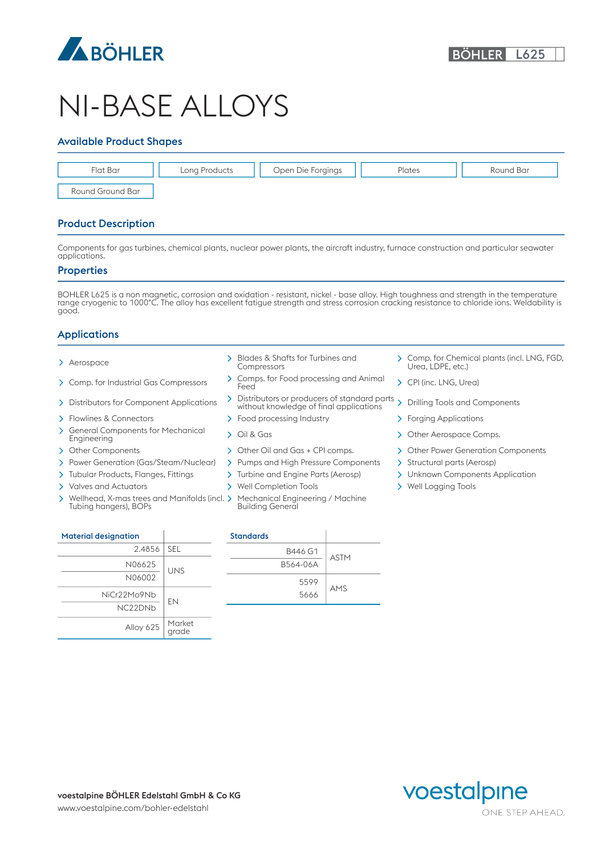

# NI-BASE ALLOYS

#### Available Product Shapes



### Product Description

Components for gas turbines, chemical plants, nuclear power plants, the aircraft industry, furnace construction and particular seawater applications.

#### **Properties**

BOHLER L625 is a non magnetic, corrosion and oxidation - resistant, nickel - base alloy. High toughness and strength in the temperature range cryogenic to 1000°C. The alloy has excellent fatigue strength and stress corrosion cracking resistance to chloride ions. Weldability is good.

#### Applications

- 
- 
- 
- > Flowlines & Connectors > Food processing Industry > Forging Applications
- $\overline{\phantom{0}}$ General Components for Mechanical > Oil & Gas<br>Engineering
- 
- 
- > Tubular Products, Flanges, Fittings > Turbine and Engine Parts (Aerosp) > Unknown Components Application
- > Valves and Actuators > Well Completion Tools > Well Logging Tools
- $\rightarrow$ Wellhead, X-mas trees and Manifolds (incl. > Mechanical E Tubing hangers), BOPs
- Compressors
- Comp. for Industrial Gas Compressors Comps. for Food processing and Animal Feed CPI (inc. LNG, Urea)
- Distributors for Component Applications Distributors or producers of standard parts without knowledge of final applications Drilling Tools and Components
	-
	-
	-
- > Power Generation (Gas/Steam/Nuclear) > Pumps and High Pressure Components > Structural parts (Aerosp)
	-
	-
	- Mechanical Engineering / Machine Building General
- Aerospace Blades & Shafts for Turbines and Comp. for Chemical plants (incl. LNG, FGD, Urea, LDPE, etc.)
	-
	-
	-
	- > Other Aerospace Comps.
- > Other Components > Other Oil and Gas + CPI comps. > Other Power Generation Components
	-
	-
	-

| <b>Material designation</b> |                 | <b>Standards</b> |    |
|-----------------------------|-----------------|------------------|----|
| 2.4856                      | <b>SEL</b>      | B446 G1          |    |
| N06625                      | <b>UNS</b>      | B564-06A         | A. |
| N06002                      |                 | 5599             |    |
| NiCr22Mo9Nb                 | EN              | 5666             | AI |
| NC22DNb                     |                 |                  |    |
| Alloy 625                   | Market<br>grade |                  |    |

| tion    |            | <b>Standards</b> |             |
|---------|------------|------------------|-------------|
|         |            |                  |             |
| 2.4856  | <b>SEL</b> | B446 G1          |             |
| N06625  | <b>UNS</b> | B564-06A         | <b>ASTM</b> |
| N06002  |            | 5599             |             |
| Mo9Nb   | <b>EN</b>  | 5666             | AMS         |
| ------- |            |                  |             |